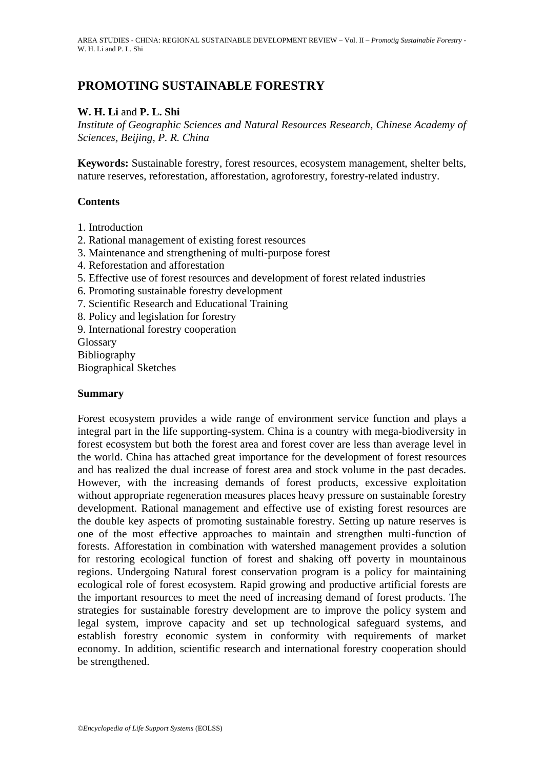# **PROMOTING SUSTAINABLE FORESTRY**

# **W. H. Li** and **P. L. Shi**

*Institute of Geographic Sciences and Natural Resources Research, Chinese Academy of Sciences, Beijing, P. R. China*

**Keywords:** Sustainable forestry, forest resources, ecosystem management, shelter belts, nature reserves, reforestation, afforestation, agroforestry, forestry-related industry.

### **Contents**

- 1. Introduction
- 2. Rational management of existing forest resources
- 3. Maintenance and strengthening of multi-purpose forest
- 4. Reforestation and afforestation
- 5. Effective use of forest resources and development of forest related industries
- 6. Promoting sustainable forestry development
- 7. Scientific Research and Educational Training
- 8. Policy and legislation for forestry
- 9. International forestry cooperation

Glossary Bibliography

Biographical Sketches

### **Summary**

Forest ecosystem provides a wide range of environment service function and plays a integral part in the life supporting-system. China is a country with mega-biodiversity in forest ecosystem but both the forest area and forest cover are less than average level in the world. China has attached great importance for the development of forest resources and has realized the dual increase of forest area and stock volume in the past decades. However, with the increasing demands of forest products, excessive exploitation without appropriate regeneration measures places heavy pressure on sustainable forestry development. Rational management and effective use of existing forest resources are the double key aspects of promoting sustainable forestry. Setting up nature reserves is one of the most effective approaches to maintain and strengthen multi-function of forests. Afforestation in combination with watershed management provides a solution for restoring ecological function of forest and shaking off poverty in mountainous regions. Undergoing Natural forest conservation program is a policy for maintaining ecological role of forest ecosystem. Rapid growing and productive artificial forests are the important resources to meet the need of increasing demand of forest products. The strategies for sustainable forestry development are to improve the policy system and legal system, improve capacity and set up technological safeguard systems, and establish forestry economic system in conformity with requirements of market economy. In addition, scientific research and international forestry cooperation should be strengthened.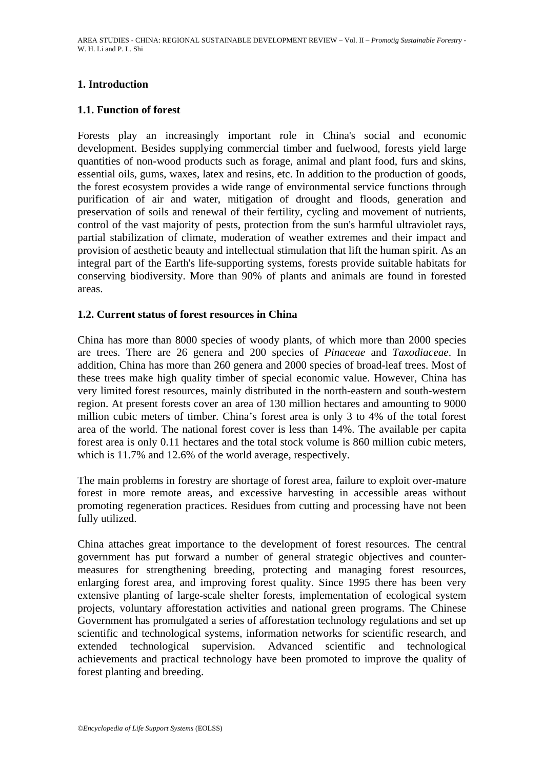# **1. Introduction**

### **1.1. Function of forest**

Forests play an increasingly important role in China's social and economic development. Besides supplying commercial timber and fuelwood, forests yield large quantities of non-wood products such as forage, animal and plant food, furs and skins, essential oils, gums, waxes, latex and resins, etc. In addition to the production of goods, the forest ecosystem provides a wide range of environmental service functions through purification of air and water, mitigation of drought and floods, generation and preservation of soils and renewal of their fertility, cycling and movement of nutrients, control of the vast majority of pests, protection from the sun's harmful ultraviolet rays, partial stabilization of climate, moderation of weather extremes and their impact and provision of aesthetic beauty and intellectual stimulation that lift the human spirit. As an integral part of the Earth's life-supporting systems, forests provide suitable habitats for conserving biodiversity. More than 90% of plants and animals are found in forested areas.

### **1.2. Current status of forest resources in China**

China has more than 8000 species of woody plants, of which more than 2000 species are trees. There are 26 genera and 200 species of *Pinaceae* and *Taxodiaceae*. In addition, China has more than 260 genera and 2000 species of broad-leaf trees. Most of these trees make high quality timber of special economic value. However, China has very limited forest resources, mainly distributed in the north-eastern and south-western region. At present forests cover an area of 130 million hectares and amounting to 9000 million cubic meters of timber. China's forest area is only 3 to 4% of the total forest area of the world. The national forest cover is less than 14%. The available per capita forest area is only 0.11 hectares and the total stock volume is 860 million cubic meters, which is 11.7% and 12.6% of the world average, respectively.

The main problems in forestry are shortage of forest area, failure to exploit over-mature forest in more remote areas, and excessive harvesting in accessible areas without promoting regeneration practices. Residues from cutting and processing have not been fully utilized.

China attaches great importance to the development of forest resources. The central government has put forward a number of general strategic objectives and countermeasures for strengthening breeding, protecting and managing forest resources, enlarging forest area, and improving forest quality. Since 1995 there has been very extensive planting of large-scale shelter forests, implementation of ecological system projects, voluntary afforestation activities and national green programs. The Chinese Government has promulgated a series of afforestation technology regulations and set up scientific and technological systems, information networks for scientific research, and extended technological supervision. Advanced scientific and technological achievements and practical technology have been promoted to improve the quality of forest planting and breeding.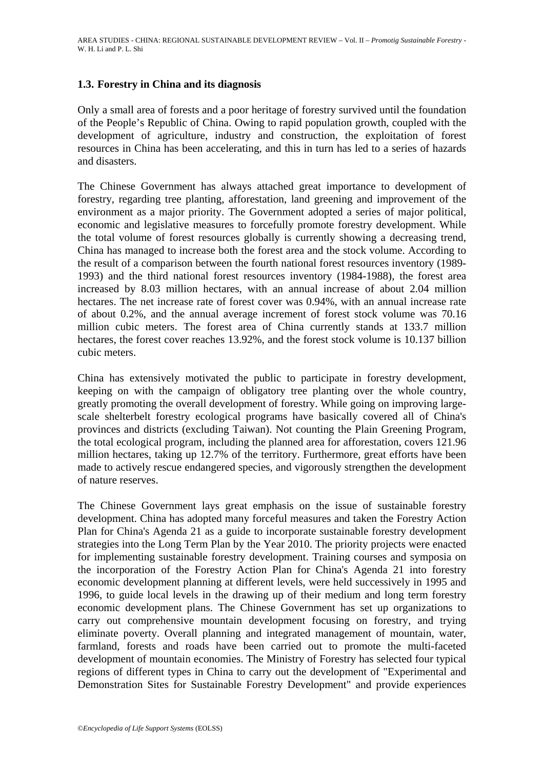## **1.3. Forestry in China and its diagnosis**

Only a small area of forests and a poor heritage of forestry survived until the foundation of the People's Republic of China. Owing to rapid population growth, coupled with the development of agriculture, industry and construction, the exploitation of forest resources in China has been accelerating, and this in turn has led to a series of hazards and disasters.

The Chinese Government has always attached great importance to development of forestry, regarding tree planting, afforestation, land greening and improvement of the environment as a major priority. The Government adopted a series of major political, economic and legislative measures to forcefully promote forestry development. While the total volume of forest resources globally is currently showing a decreasing trend, China has managed to increase both the forest area and the stock volume. According to the result of a comparison between the fourth national forest resources inventory (1989- 1993) and the third national forest resources inventory (1984-1988), the forest area increased by 8.03 million hectares, with an annual increase of about 2.04 million hectares. The net increase rate of forest cover was 0.94%, with an annual increase rate of about 0.2%, and the annual average increment of forest stock volume was 70.16 million cubic meters. The forest area of China currently stands at 133.7 million hectares, the forest cover reaches 13.92%, and the forest stock volume is 10.137 billion cubic meters.

China has extensively motivated the public to participate in forestry development, keeping on with the campaign of obligatory tree planting over the whole country, greatly promoting the overall development of forestry. While going on improving largescale shelterbelt forestry ecological programs have basically covered all of China's provinces and districts (excluding Taiwan). Not counting the Plain Greening Program, the total ecological program, including the planned area for afforestation, covers 121.96 million hectares, taking up 12.7% of the territory. Furthermore, great efforts have been made to actively rescue endangered species, and vigorously strengthen the development of nature reserves.

The Chinese Government lays great emphasis on the issue of sustainable forestry development. China has adopted many forceful measures and taken the Forestry Action Plan for China's Agenda 21 as a guide to incorporate sustainable forestry development strategies into the Long Term Plan by the Year 2010. The priority projects were enacted for implementing sustainable forestry development. Training courses and symposia on the incorporation of the Forestry Action Plan for China's Agenda 21 into forestry economic development planning at different levels, were held successively in 1995 and 1996, to guide local levels in the drawing up of their medium and long term forestry economic development plans. The Chinese Government has set up organizations to carry out comprehensive mountain development focusing on forestry, and trying eliminate poverty. Overall planning and integrated management of mountain, water, farmland, forests and roads have been carried out to promote the multi-faceted development of mountain economies. The Ministry of Forestry has selected four typical regions of different types in China to carry out the development of "Experimental and Demonstration Sites for Sustainable Forestry Development" and provide experiences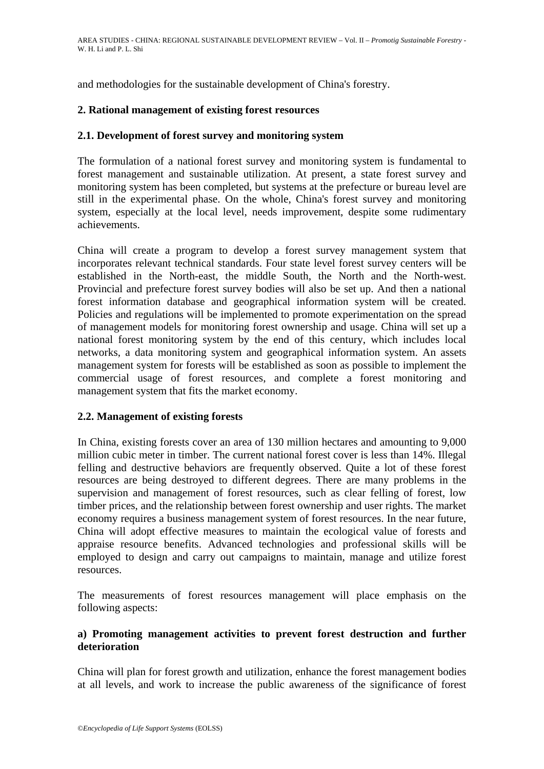and methodologies for the sustainable development of China's forestry.

# **2. Rational management of existing forest resources**

## **2.1. Development of forest survey and monitoring system**

The formulation of a national forest survey and monitoring system is fundamental to forest management and sustainable utilization. At present, a state forest survey and monitoring system has been completed, but systems at the prefecture or bureau level are still in the experimental phase. On the whole, China's forest survey and monitoring system, especially at the local level, needs improvement, despite some rudimentary achievements.

China will create a program to develop a forest survey management system that incorporates relevant technical standards. Four state level forest survey centers will be established in the North-east, the middle South, the North and the North-west. Provincial and prefecture forest survey bodies will also be set up. And then a national forest information database and geographical information system will be created. Policies and regulations will be implemented to promote experimentation on the spread of management models for monitoring forest ownership and usage. China will set up a national forest monitoring system by the end of this century, which includes local networks, a data monitoring system and geographical information system. An assets management system for forests will be established as soon as possible to implement the commercial usage of forest resources, and complete a forest monitoring and management system that fits the market economy.

# **2.2. Management of existing forests**

In China, existing forests cover an area of 130 million hectares and amounting to 9,000 million cubic meter in timber. The current national forest cover is less than 14%. Illegal felling and destructive behaviors are frequently observed. Quite a lot of these forest resources are being destroyed to different degrees. There are many problems in the supervision and management of forest resources, such as clear felling of forest, low timber prices, and the relationship between forest ownership and user rights. The market economy requires a business management system of forest resources. In the near future, China will adopt effective measures to maintain the ecological value of forests and appraise resource benefits. Advanced technologies and professional skills will be employed to design and carry out campaigns to maintain, manage and utilize forest resources.

The measurements of forest resources management will place emphasis on the following aspects:

## **a) Promoting management activities to prevent forest destruction and further deterioration**

China will plan for forest growth and utilization, enhance the forest management bodies at all levels, and work to increase the public awareness of the significance of forest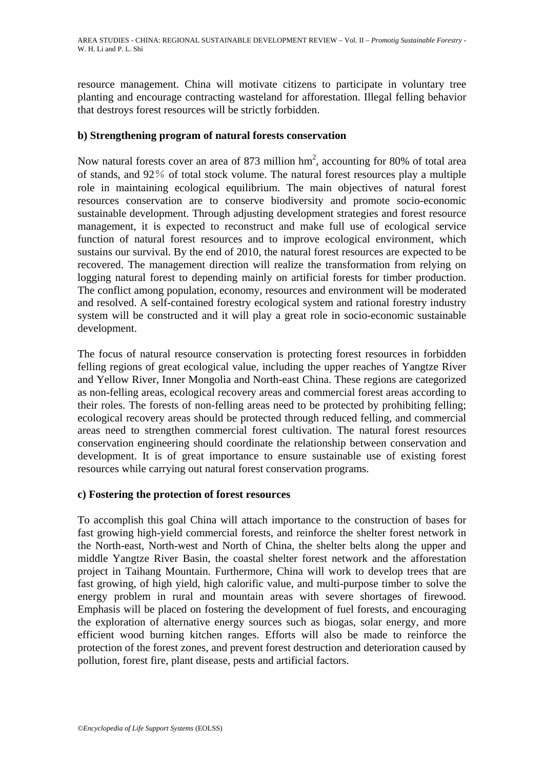resource management. China will motivate citizens to participate in voluntary tree planting and encourage contracting wasteland for afforestation. Illegal felling behavior that destroys forest resources will be strictly forbidden.

# **b) Strengthening program of natural forests conservation**

Now natural forests cover an area of 873 million  $hm^2$ , accounting for 80% of total area of stands, and 92% of total stock volume. The natural forest resources play a multiple role in maintaining ecological equilibrium. The main objectives of natural forest resources conservation are to conserve biodiversity and promote socio-economic sustainable development. Through adjusting development strategies and forest resource management, it is expected to reconstruct and make full use of ecological service function of natural forest resources and to improve ecological environment, which sustains our survival. By the end of 2010, the natural forest resources are expected to be recovered. The management direction will realize the transformation from relying on logging natural forest to depending mainly on artificial forests for timber production. The conflict among population, economy, resources and environment will be moderated and resolved. A self-contained forestry ecological system and rational forestry industry system will be constructed and it will play a great role in socio-economic sustainable development.

The focus of natural resource conservation is protecting forest resources in forbidden felling regions of great ecological value, including the upper reaches of Yangtze River and Yellow River, Inner Mongolia and North-east China. These regions are categorized as non-felling areas, ecological recovery areas and commercial forest areas according to their roles. The forests of non-felling areas need to be protected by prohibiting felling; ecological recovery areas should be protected through reduced felling, and commercial areas need to strengthen commercial forest cultivation. The natural forest resources conservation engineering should coordinate the relationship between conservation and development. It is of great importance to ensure sustainable use of existing forest resources while carrying out natural forest conservation programs.

### **c) Fostering the protection of forest resources**

To accomplish this goal China will attach importance to the construction of bases for fast growing high-yield commercial forests, and reinforce the shelter forest network in the North-east, North-west and North of China, the shelter belts along the upper and middle Yangtze River Basin, the coastal shelter forest network and the afforestation project in Taihang Mountain. Furthermore, China will work to develop trees that are fast growing, of high yield, high calorific value, and multi-purpose timber to solve the energy problem in rural and mountain areas with severe shortages of firewood. Emphasis will be placed on fostering the development of fuel forests, and encouraging the exploration of alternative energy sources such as biogas, solar energy, and more efficient wood burning kitchen ranges. Efforts will also be made to reinforce the protection of the forest zones, and prevent forest destruction and deterioration caused by pollution, forest fire, plant disease, pests and artificial factors.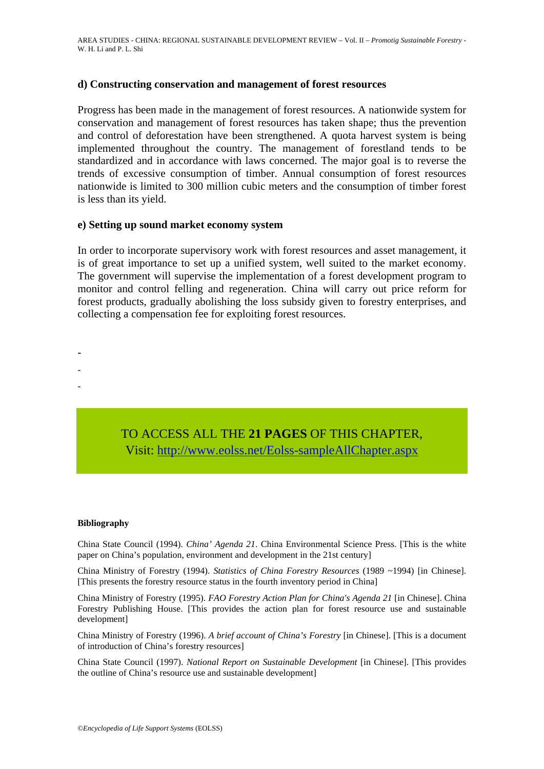#### **d) Constructing conservation and management of forest resources**

Progress has been made in the management of forest resources. A nationwide system for conservation and management of forest resources has taken shape; thus the prevention and control of deforestation have been strengthened. A quota harvest system is being implemented throughout the country. The management of forestland tends to be standardized and in accordance with laws concerned. The major goal is to reverse the trends of excessive consumption of timber. Annual consumption of forest resources nationwide is limited to 300 million cubic meters and the consumption of timber forest is less than its yield.

#### **e) Setting up sound market economy system**

In order to incorporate supervisory work with forest resources and asset management, it is of great importance to set up a unified system, well suited to the market economy. The government will supervise the implementation of a forest development program to monitor and control felling and regeneration. China will carry out price reform for forest products, gradually abolishing the loss subsidy given to forestry enterprises, and collecting a compensation fee for exploiting forest resources.

- -
- -
- -

# TO ACCESS ALL THE **21 PAGES** OF THIS CHAPTER, Visit: [http://www.eolss.net/Eolss-sampleAllChapter.aspx](https://www.eolss.net/ebooklib/sc_cart.aspx?File=E1-54-17)

#### **Bibliography**

China State Council (1994). *China' Agenda 21*. China Environmental Science Press. [This is the white paper on China's population, environment and development in the 21st century]

China Ministry of Forestry (1994). *Statistics of China Forestry Resources* (1989 ~1994) [in Chinese]. [This presents the forestry resource status in the fourth inventory period in China]

China Ministry of Forestry (1995). *FAO Forestry Action Plan for China's Agenda 21* [in Chinese]. China Forestry Publishing House. [This provides the action plan for forest resource use and sustainable development]

China Ministry of Forestry (1996). *A brief account of China's Forestry* [in Chinese]. [This is a document of introduction of China's forestry resources]

China State Council (1997). *National Report on Sustainable Development* [in Chinese]. [This provides the outline of China's resource use and sustainable development]